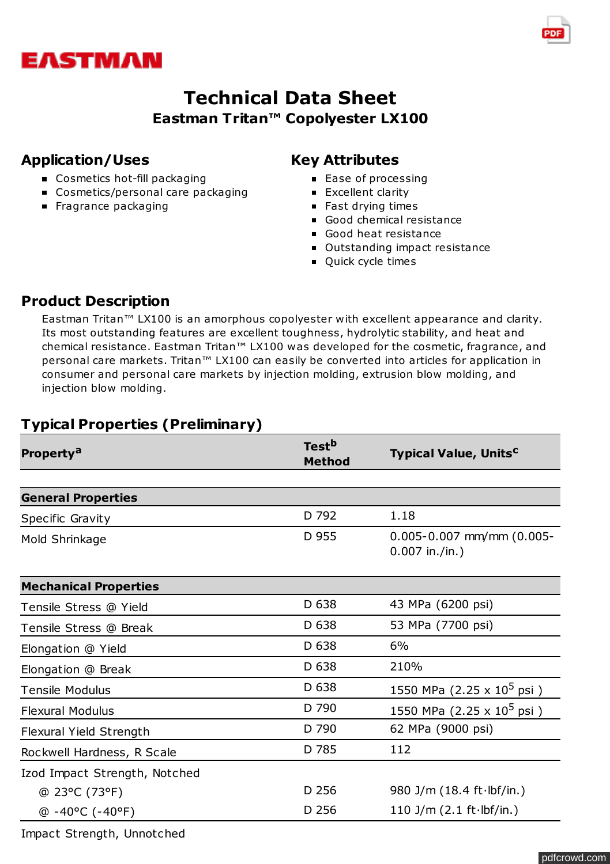

# **Technical Data Sheet Eastman Tritan™ Copolyester LX100**

#### **Application/Uses**

- Cosmetics hot-fill packaging
- Cosmetics/personal care packaging
- **Fragrance packaging**

### **Key Attributes**

- Ease of processing
- **Excellent clarity**
- Fast drying times
- Good chemical resistance
- Good heat resistance
- **Outstanding impact resistance**
- **Quick cycle times**

#### **Product Description**

Eastman Tritan™ LX100 is an amorphous copolyester with excellent appearance and clarity. Its most outstanding features are excellent toughness, hydrolytic stability, and heat and chemical resistance. Eastman Tritan™ LX100 was developed for the cosmetic, fragrance, and personal care markets. Tritan<sup>™</sup> LX100 can easily be converted into articles for application in consumer and personal care markets by injection molding, extrusion blow molding, and injection blow molding.

## **Typical Properties (Preliminary)**

| <b>Property<sup>a</sup></b>    | <b>Test<sup>b</sup></b><br><b>Method</b> | <b>Typical Value, Units<sup>c</sup></b>              |
|--------------------------------|------------------------------------------|------------------------------------------------------|
|                                |                                          |                                                      |
| <b>General Properties</b>      |                                          |                                                      |
| Specific Gravity               | D 792                                    | 1.18                                                 |
| Mold Shrinkage                 | D 955                                    | $0.005 - 0.007$ mm/mm $(0.005 -$<br>$0.007$ in./in.) |
| <b>Mechanical Properties</b>   |                                          |                                                      |
| Tensile Stress @ Yield         | D 638                                    | 43 MPa (6200 psi)                                    |
| Tensile Stress @ Break         | D 638                                    | 53 MPa (7700 psi)                                    |
| Elongation @ Yield             | D 638                                    | 6%                                                   |
| Elongation @ Break             | D 638                                    | 210%                                                 |
| <b>Tensile Modulus</b>         | D 638                                    | 1550 MPa (2.25 x 10 <sup>5</sup> psi)                |
| <b>Flexural Modulus</b>        | D 790                                    | 1550 MPa (2.25 x $10^5$ psi)                         |
| <b>Flexural Yield Strength</b> | D 790                                    | 62 MPa (9000 psi)                                    |
| Rockwell Hardness, R Scale     | D 785                                    | 112                                                  |
| Izod Impact Strength, Notched  |                                          |                                                      |
| @ 23°C (73°F)                  | D 256                                    | 980 J/m $(18.4 ft·lbf/in.)$                          |
| $@ -40°C (-40°F)$              | D 256                                    | 110 J/m $(2.1 ft·lbf/in.)$                           |

Impact Strength, Unnotched